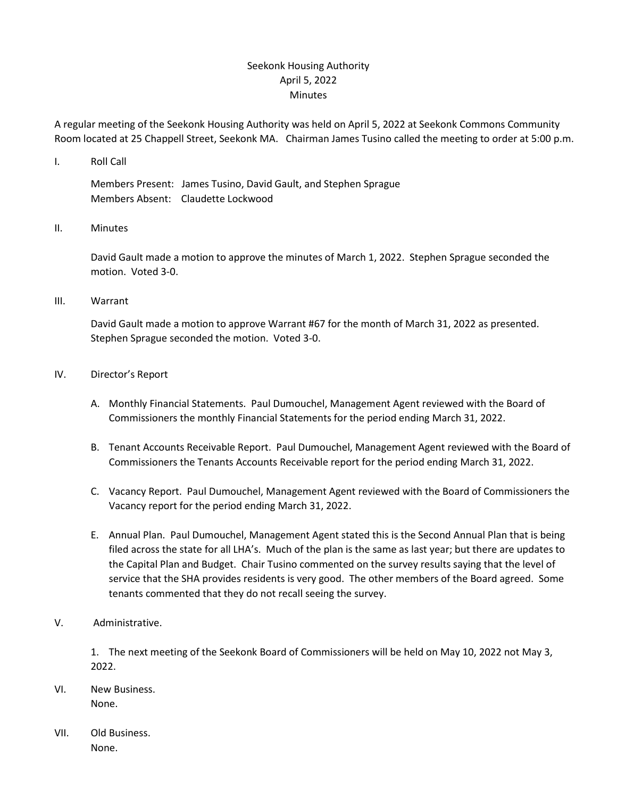## Seekonk Housing Authority April 5, 2022 Minutes

A regular meeting of the Seekonk Housing Authority was held on April 5, 2022 at Seekonk Commons Community Room located at 25 Chappell Street, Seekonk MA. Chairman James Tusino called the meeting to order at 5:00 p.m.

I. Roll Call

Members Present: James Tusino, David Gault, and Stephen Sprague Members Absent: Claudette Lockwood

II. Minutes

David Gault made a motion to approve the minutes of March 1, 2022. Stephen Sprague seconded the motion. Voted 3-0.

III. Warrant

David Gault made a motion to approve Warrant #67 for the month of March 31, 2022 as presented. Stephen Sprague seconded the motion. Voted 3-0.

- IV. Director's Report
	- A. Monthly Financial Statements. Paul Dumouchel, Management Agent reviewed with the Board of Commissioners the monthly Financial Statements for the period ending March 31, 2022.
	- B. Tenant Accounts Receivable Report. Paul Dumouchel, Management Agent reviewed with the Board of Commissioners the Tenants Accounts Receivable report for the period ending March 31, 2022.
	- C. Vacancy Report. Paul Dumouchel, Management Agent reviewed with the Board of Commissioners the Vacancy report for the period ending March 31, 2022.
	- E. Annual Plan. Paul Dumouchel, Management Agent stated this is the Second Annual Plan that is being filed across the state for all LHA's. Much of the plan is the same as last year; but there are updates to the Capital Plan and Budget. Chair Tusino commented on the survey results saying that the level of service that the SHA provides residents is very good. The other members of the Board agreed. Some tenants commented that they do not recall seeing the survey.
- V. Administrative.

1. The next meeting of the Seekonk Board of Commissioners will be held on May 10, 2022 not May 3, 2022.

- VI. New Business. None.
- VII. Old Business. None.